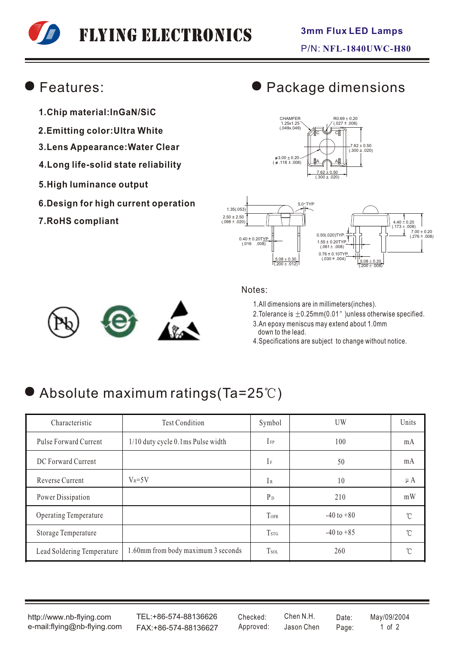# Flying Electronics

### Features:

- **1.Chip material:InGaN/SiC**
- **2.Emitting color:Ultra White**
- **3.Lens Appearance:Water Clear**
- **4.Long life-solid state reliability**
- **5.High luminance output**
- **6.Design for high current operation**
- **7.RoHS compliant**

# Package dimensions







#### Notes:

1.All dimensions are in millimeters(inches).

2. Tolerance is  $\pm 0.25$ mm(0.01") unless otherwise specified.

- 3.An epoxy meniscus may extend about 1.0mm down to the lead.
- 4.Specifications are subject to change without notice.

# Absolute maximum ratings (Ta=25°C)

| Characteristic             | <b>Test Condition</b>              | Symbol                  | UW             | Units        |
|----------------------------|------------------------------------|-------------------------|----------------|--------------|
| Pulse Forward Current      | 1/10 duty cycle 0.1ms Pulse width  | $I_{FP}$                | 100            | mA           |
| DC Forward Current         |                                    | $I_F$                   | 50             | mA           |
| Reverse Current            | $V_R = 5V$                         | IR                      | 10             | $\mu A$      |
| Power Dissipation          |                                    | $P_D$                   | 210            | mW           |
| Operating Temperature      |                                    | TOPR                    | $-40$ to $+80$ | °C           |
| Storage Temperature        |                                    | <b>T</b> <sub>STG</sub> | $-40$ to $+85$ | °C           |
| Lead Soldering Temperature | 1.60mm from body maximum 3 seconds | T <sub>sol</sub>        | 260            | $^{\circ}$ C |

http://www.nb-flying.com e-mail:flying@nb-flying.com

TEL:+86-574-88136626 FAX:+86-574-88136627 Approved: Jason Chen Page: 1 of 2

Jason Chen Checked: Chen N.H. Date: May/09/2004